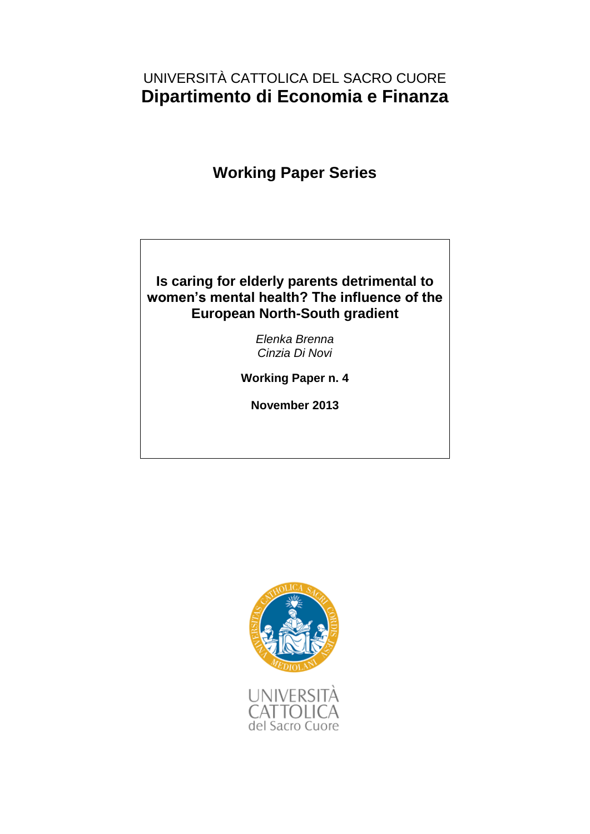# UNIVERSITÀ CATTOLICA DEL SACRO CUORE **Dipartimento di Economia e Finanza**

# **Working Paper Series**

### **Is caring for elderly parents detrimental to women's mental health? The influence of the European North-South gradient**

*Elenka Brenna Cinzia Di Novi*

**Working Paper n. 4**

**November 2013**

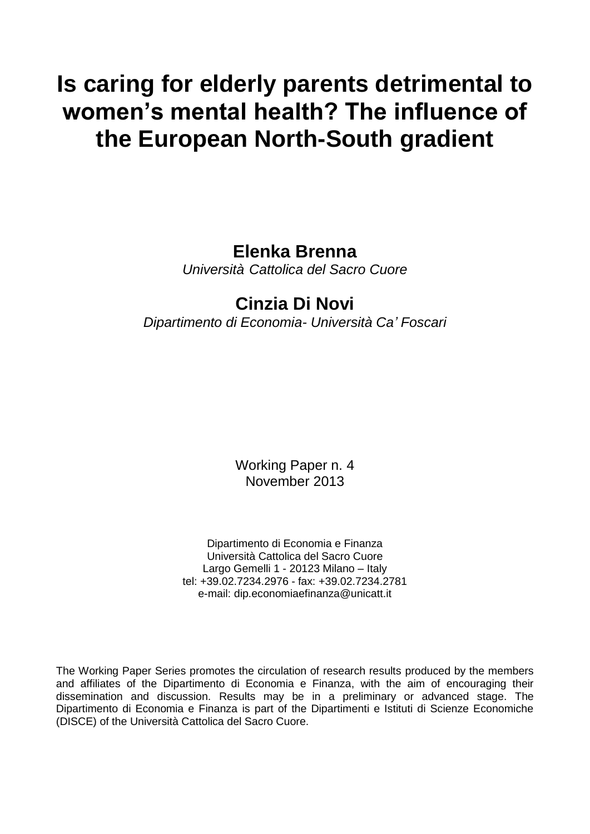# **Is caring for elderly parents detrimental to women's mental health? The influence of the European North-South gradient**

# **Elenka Brenna**

*Università Cattolica del Sacro Cuore*

# **Cinzia Di Novi**

*Dipartimento di Economia- Università Ca' Foscari*

Working Paper n. 4 November 2013

Dipartimento di Economia e Finanza Università Cattolica del Sacro Cuore Largo Gemelli 1 - 20123 Milano – Italy tel: +39.02.7234.2976 - fax: +39.02.7234.2781 e-mail: dip.economiaefinanza@unicatt.it

The Working Paper Series promotes the circulation of research results produced by the members and affiliates of the Dipartimento di Economia e Finanza, with the aim of encouraging their dissemination and discussion. Results may be in a preliminary or advanced stage. The Dipartimento di Economia e Finanza is part of the Dipartimenti e Istituti di Scienze Economiche (DISCE) of the Università Cattolica del Sacro Cuore.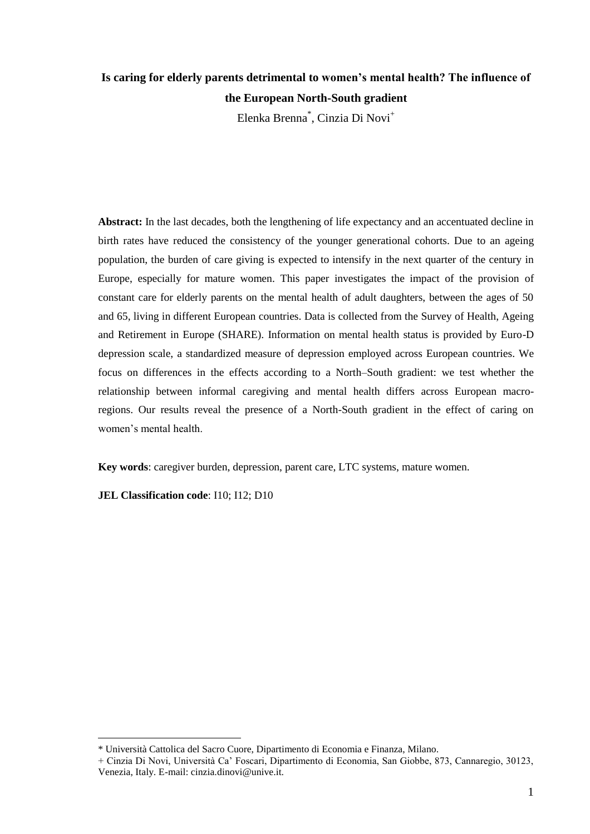## **Is caring for elderly parents detrimental to women's mental health? The influence of the European North-South gradient**

Elenka Brenna<sup>\*</sup>, Cinzia Di Novi<sup>+</sup>

**Abstract:** In the last decades, both the lengthening of life expectancy and an accentuated decline in birth rates have reduced the consistency of the younger generational cohorts. Due to an ageing population, the burden of care giving is expected to intensify in the next quarter of the century in Europe, especially for mature women. This paper investigates the impact of the provision of constant care for elderly parents on the mental health of adult daughters, between the ages of 50 and 65, living in different European countries. Data is collected from the Survey of Health, Ageing and Retirement in Europe (SHARE). Information on mental health status is provided by Euro-D depression scale, a standardized measure of depression employed across European countries. We focus on differences in the effects according to a North–South gradient: we test whether the relationship between informal caregiving and mental health differs across European macroregions. Our results reveal the presence of a North-South gradient in the effect of caring on women"s mental health.

**Key words**: caregiver burden, depression, parent care, LTC systems, mature women.

**JEL Classification code**: I10; I12; D10

<sup>\*</sup> Università Cattolica del Sacro Cuore, Dipartimento di Economia e Finanza, Milano.

<sup>+</sup> Cinzia Di Novi, Università Ca" Foscari, Dipartimento di Economia, San Giobbe, 873, Cannaregio, 30123, Venezia, Italy. E-mail: cinzia.dinovi@unive.it.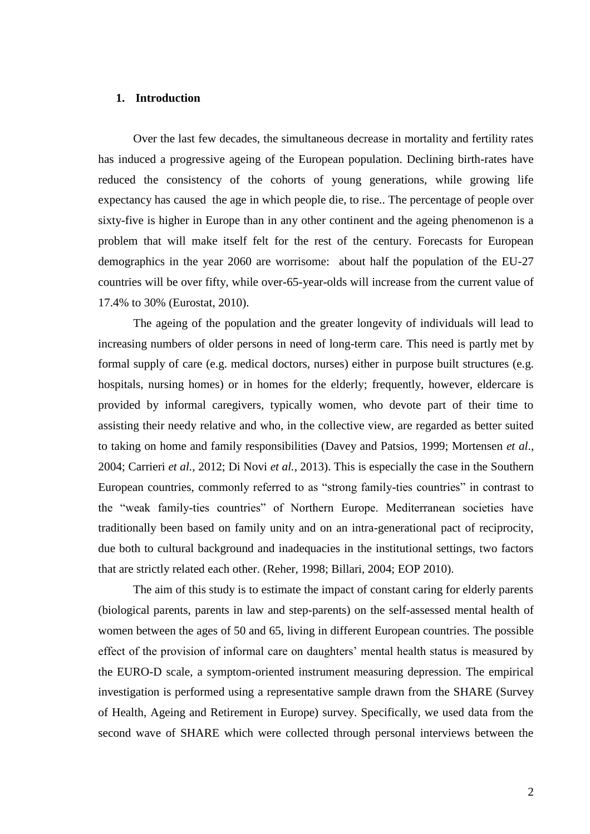#### **1. Introduction**

Over the last few decades, the simultaneous decrease in mortality and fertility rates has induced a progressive ageing of the European population. Declining birth-rates have reduced the consistency of the cohorts of young generations, while growing life expectancy has caused the age in which people die, to rise.. The percentage of people over sixty-five is higher in Europe than in any other continent and the ageing phenomenon is a problem that will make itself felt for the rest of the century. Forecasts for European demographics in the year 2060 are worrisome: about half the population of the EU-27 countries will be over fifty, while over-65-year-olds will increase from the current value of 17.4% to 30% (Eurostat, 2010).

The ageing of the population and the greater longevity of individuals will lead to increasing numbers of older persons in need of long-term care. This need is partly met by formal supply of care (e.g. medical doctors, nurses) either in purpose built structures (e.g. hospitals, nursing homes) or in homes for the elderly; frequently, however, eldercare is provided by informal caregivers, typically women, who devote part of their time to assisting their needy relative and who, in the collective view, are regarded as better suited to taking on home and family responsibilities (Davey and Patsios, 1999; Mortensen *et al*., 2004; Carrieri *et al.,* 2012; Di Novi *et al.*, 2013). This is especially the case in the Southern European countries, commonly referred to as "strong family-ties countries" in contrast to the "weak family-ties countries" of Northern Europe. Mediterranean societies have traditionally been based on family unity and on an intra-generational pact of reciprocity, due both to cultural background and inadequacies in the institutional settings, two factors that are strictly related each other. (Reher, 1998; Billari, 2004; EOP 2010).

The aim of this study is to estimate the impact of constant caring for elderly parents (biological parents, parents in law and step-parents) on the self-assessed mental health of women between the ages of 50 and 65, living in different European countries. The possible effect of the provision of informal care on daughters' mental health status is measured by the EURO-D scale, a symptom-oriented instrument measuring depression. The empirical investigation is performed using a representative sample drawn from the SHARE (Survey of Health, Ageing and Retirement in Europe) survey. Specifically, we used data from the second wave of SHARE which were collected through personal interviews between the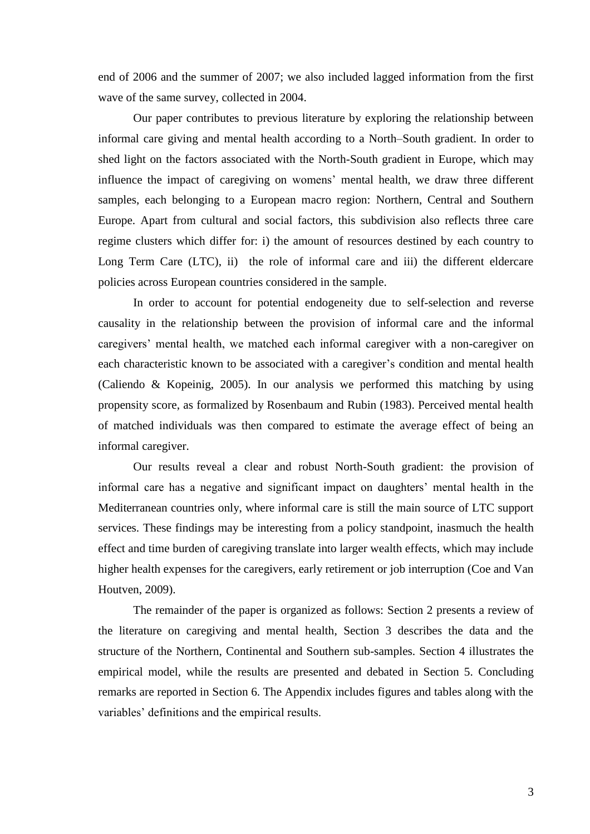end of 2006 and the summer of 2007; we also included lagged information from the first wave of the same survey, collected in 2004.

Our paper contributes to previous literature by exploring the relationship between informal care giving and mental health according to a North–South gradient. In order to shed light on the factors associated with the North-South gradient in Europe, which may influence the impact of caregiving on womens" mental health, we draw three different samples, each belonging to a European macro region: Northern, Central and Southern Europe. Apart from cultural and social factors, this subdivision also reflects three care regime clusters which differ for: i) the amount of resources destined by each country to Long Term Care (LTC), ii) the role of informal care and iii) the different eldercare policies across European countries considered in the sample.

In order to account for potential endogeneity due to self-selection and reverse causality in the relationship between the provision of informal care and the informal caregivers" mental health, we matched each informal caregiver with a non-caregiver on each characteristic known to be associated with a caregiver's condition and mental health (Caliendo & Kopeinig, 2005). In our analysis we performed this matching by using propensity score, as formalized by Rosenbaum and Rubin (1983). Perceived mental health of matched individuals was then compared to estimate the average effect of being an informal caregiver.

Our results reveal a clear and robust North-South gradient: the provision of informal care has a negative and significant impact on daughters' mental health in the Mediterranean countries only, where informal care is still the main source of LTC support services. These findings may be interesting from a policy standpoint, inasmuch the health effect and time burden of caregiving translate into larger wealth effects, which may include higher health expenses for the caregivers, early retirement or job interruption (Coe and Van Houtven, 2009).

The remainder of the paper is organized as follows: Section 2 presents a review of the literature on caregiving and mental health, Section 3 describes the data and the structure of the Northern, Continental and Southern sub-samples. Section 4 illustrates the empirical model, while the results are presented and debated in Section 5. Concluding remarks are reported in Section 6. The Appendix includes figures and tables along with the variables" definitions and the empirical results.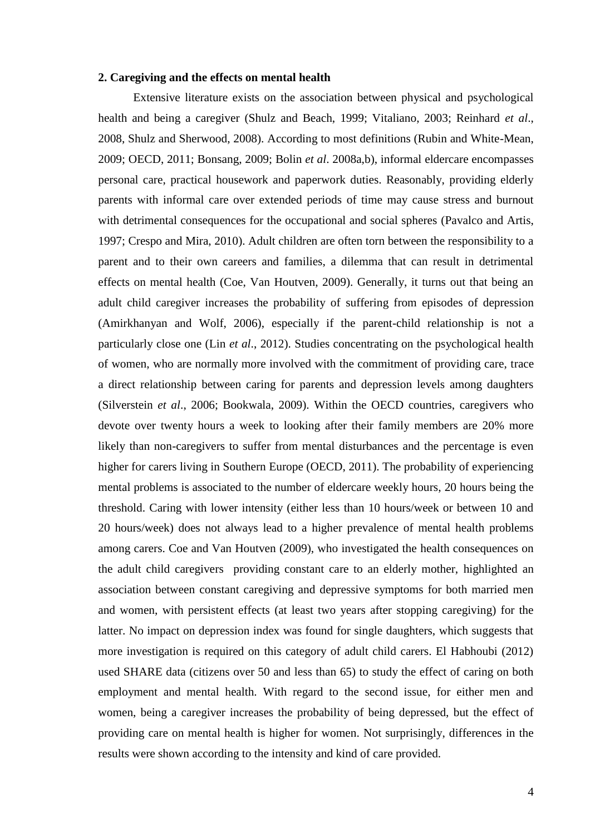#### **2. Caregiving and the effects on mental health**

Extensive literature exists on the association between physical and psychological health and being a caregiver (Shulz and Beach, 1999; Vitaliano, 2003; Reinhard *et al*., 2008, Shulz and Sherwood, 2008). According to most definitions (Rubin and White-Mean, 2009; OECD, 2011; Bonsang, 2009; Bolin *et al*. 2008a,b), informal eldercare encompasses personal care, practical housework and paperwork duties. Reasonably, providing elderly parents with informal care over extended periods of time may cause stress and burnout with detrimental consequences for the occupational and social spheres (Pavalco and Artis, 1997; Crespo and Mira, 2010). Adult children are often torn between the responsibility to a parent and to their own careers and families, a dilemma that can result in detrimental effects on mental health (Coe, Van Houtven, 2009). Generally, it turns out that being an adult child caregiver increases the probability of suffering from episodes of depression (Amirkhanyan and Wolf, 2006), especially if the parent-child relationship is not a particularly close one (Lin *et al*., 2012). Studies concentrating on the psychological health of women, who are normally more involved with the commitment of providing care, trace a direct relationship between caring for parents and depression levels among daughters (Silverstein *et al*., 2006; Bookwala, 2009). Within the OECD countries, caregivers who devote over twenty hours a week to looking after their family members are 20% more likely than non-caregivers to suffer from mental disturbances and the percentage is even higher for carers living in Southern Europe (OECD, 2011). The probability of experiencing mental problems is associated to the number of eldercare weekly hours, 20 hours being the threshold. Caring with lower intensity (either less than 10 hours/week or between 10 and 20 hours/week) does not always lead to a higher prevalence of mental health problems among carers. Coe and Van Houtven (2009), who investigated the health consequences on the adult child caregivers providing constant care to an elderly mother, highlighted an association between constant caregiving and depressive symptoms for both married men and women, with persistent effects (at least two years after stopping caregiving) for the latter. No impact on depression index was found for single daughters, which suggests that more investigation is required on this category of adult child carers. El Habhoubi (2012) used SHARE data (citizens over 50 and less than 65) to study the effect of caring on both employment and mental health. With regard to the second issue, for either men and women, being a caregiver increases the probability of being depressed, but the effect of providing care on mental health is higher for women. Not surprisingly, differences in the results were shown according to the intensity and kind of care provided.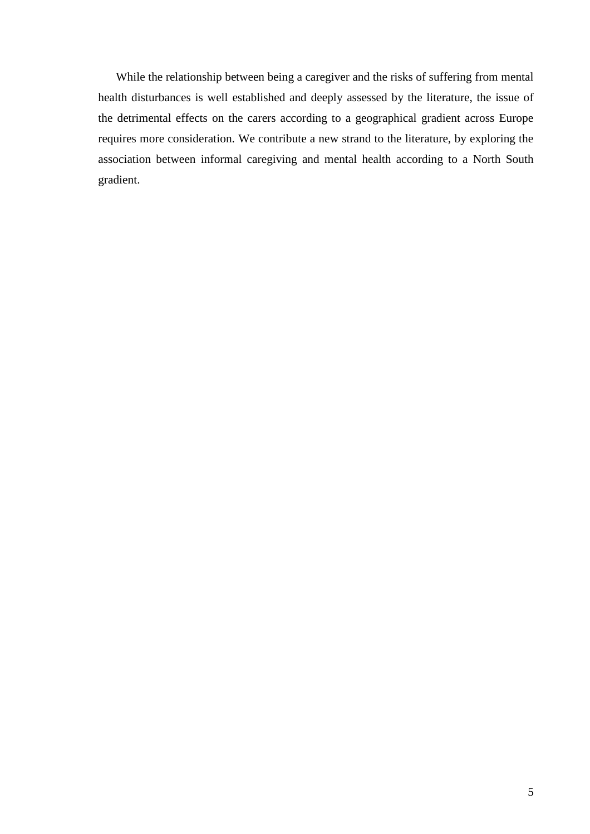While the relationship between being a caregiver and the risks of suffering from mental health disturbances is well established and deeply assessed by the literature, the issue of the detrimental effects on the carers according to a geographical gradient across Europe requires more consideration. We contribute a new strand to the literature, by exploring the association between informal caregiving and mental health according to a North South gradient.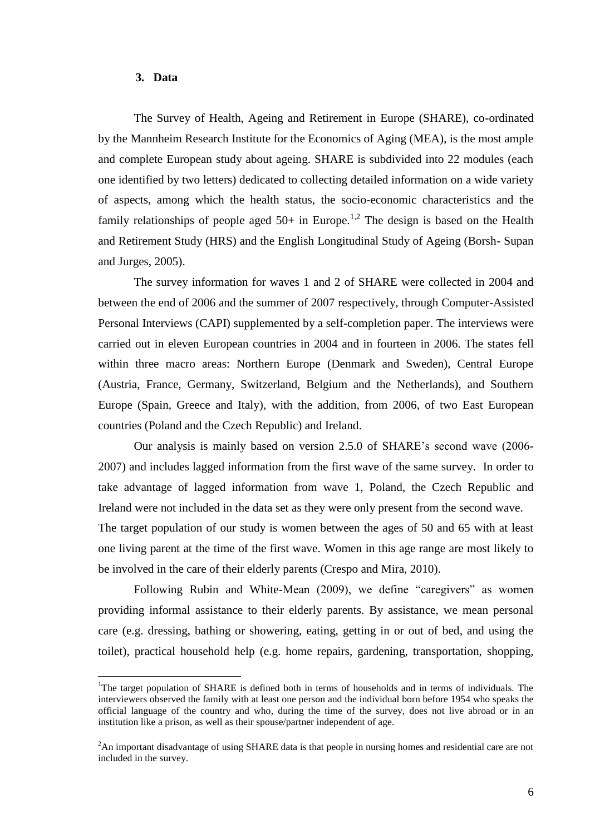#### **3. Data**

 $\overline{a}$ 

The Survey of Health, Ageing and Retirement in Europe (SHARE), co-ordinated by the Mannheim Research Institute for the Economics of Aging (MEA), is the most ample and complete European study about ageing. SHARE is subdivided into 22 modules (each one identified by two letters) dedicated to collecting detailed information on a wide variety of aspects, among which the health status, the socio-economic characteristics and the family relationships of people aged  $50+$  in Europe.<sup>1,2</sup> The design is based on the Health and Retirement Study (HRS) and the English Longitudinal Study of Ageing (Borsh- Supan and Jurges, 2005).

The survey information for waves 1 and 2 of SHARE were collected in 2004 and between the end of 2006 and the summer of 2007 respectively, through Computer-Assisted Personal Interviews (CAPI) supplemented by a self-completion paper. The interviews were carried out in eleven European countries in 2004 and in fourteen in 2006. The states fell within three macro areas: Northern Europe (Denmark and Sweden), Central Europe (Austria, France, Germany, Switzerland, Belgium and the Netherlands), and Southern Europe (Spain, Greece and Italy), with the addition, from 2006, of two East European countries (Poland and the Czech Republic) and Ireland.

Our analysis is mainly based on version 2.5.0 of SHARE"s second wave (2006- 2007) and includes lagged information from the first wave of the same survey. In order to take advantage of lagged information from wave 1, Poland, the Czech Republic and Ireland were not included in the data set as they were only present from the second wave.

The target population of our study is women between the ages of 50 and 65 with at least one living parent at the time of the first wave. Women in this age range are most likely to be involved in the care of their elderly parents (Crespo and Mira, 2010).

Following Rubin and White-Mean (2009), we define "caregivers" as women providing informal assistance to their elderly parents. By assistance, we mean personal care (e.g. dressing, bathing or showering, eating, getting in or out of bed, and using the toilet), practical household help (e.g. home repairs, gardening, transportation, shopping,

<sup>&</sup>lt;sup>1</sup>The target population of SHARE is defined both in terms of households and in terms of individuals. The interviewers observed the family with at least one person and the individual born before 1954 who speaks the official language of the country and who, during the time of the survey, does not live abroad or in an institution like a prison, as well as their spouse/partner independent of age.

<sup>&</sup>lt;sup>2</sup>An important disadvantage of using SHARE data is that people in nursing homes and residential care are not included in the survey.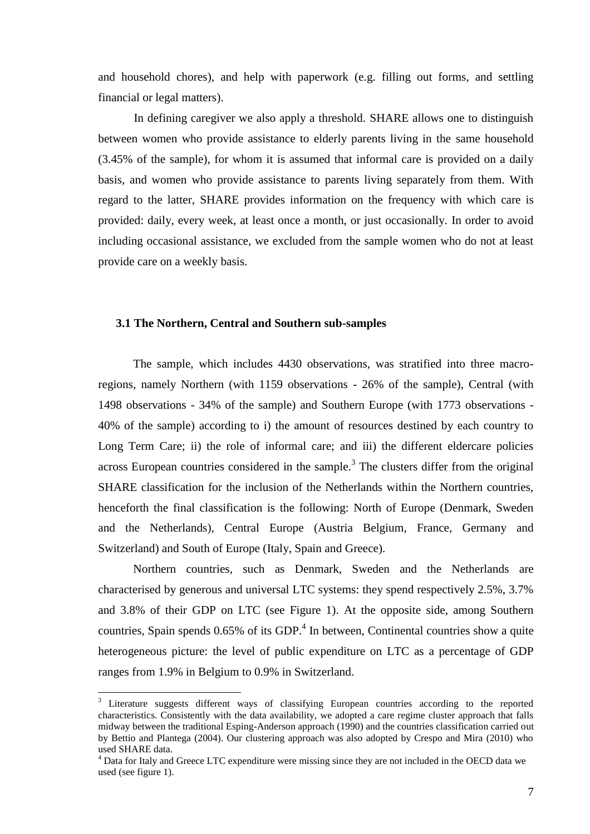and household chores), and help with paperwork (e.g. filling out forms, and settling financial or legal matters).

In defining caregiver we also apply a threshold. SHARE allows one to distinguish between women who provide assistance to elderly parents living in the same household (3.45% of the sample), for whom it is assumed that informal care is provided on a daily basis, and women who provide assistance to parents living separately from them. With regard to the latter, SHARE provides information on the frequency with which care is provided: daily, every week, at least once a month, or just occasionally. In order to avoid including occasional assistance, we excluded from the sample women who do not at least provide care on a weekly basis.

#### **3.1 The Northern, Central and Southern sub-samples**

The sample, which includes 4430 observations, was stratified into three macroregions, namely Northern (with 1159 observations - 26% of the sample), Central (with 1498 observations - 34% of the sample) and Southern Europe (with 1773 observations - 40% of the sample) according to i) the amount of resources destined by each country to Long Term Care; ii) the role of informal care; and iii) the different eldercare policies across European countries considered in the sample.<sup>3</sup> The clusters differ from the original SHARE classification for the inclusion of the Netherlands within the Northern countries, henceforth the final classification is the following: North of Europe (Denmark, Sweden and the Netherlands), Central Europe (Austria Belgium, France, Germany and Switzerland) and South of Europe (Italy, Spain and Greece).

Northern countries, such as Denmark, Sweden and the Netherlands are characterised by generous and universal LTC systems: they spend respectively 2.5%, 3.7% and 3.8% of their GDP on LTC (see Figure 1). At the opposite side, among Southern countries, Spain spends  $0.65\%$  of its GDP.<sup>4</sup> In between, Continental countries show a quite heterogeneous picture: the level of public expenditure on LTC as a percentage of GDP ranges from 1.9% in Belgium to 0.9% in Switzerland.

<sup>&</sup>lt;sup>3</sup> Literature suggests different ways of classifying European countries according to the reported characteristics. Consistently with the data availability, we adopted a care regime cluster approach that falls midway between the traditional Esping-Anderson approach (1990) and the countries classification carried out by Bettio and Plantega (2004). Our clustering approach was also adopted by Crespo and Mira (2010) who used SHARE data.

<sup>&</sup>lt;sup>4</sup> Data for Italy and Greece LTC expenditure were missing since they are not included in the OECD data we used (see figure 1).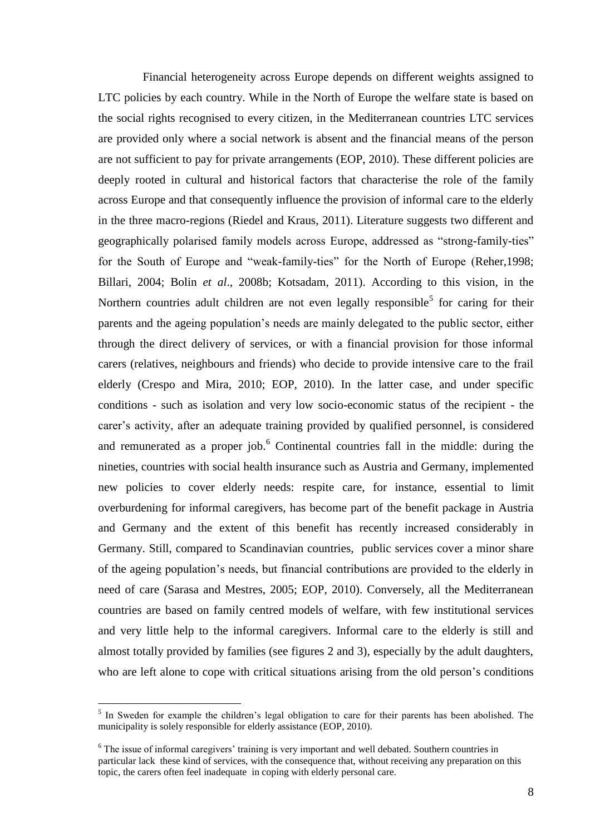Financial heterogeneity across Europe depends on different weights assigned to LTC policies by each country. While in the North of Europe the welfare state is based on the social rights recognised to every citizen, in the Mediterranean countries LTC services are provided only where a social network is absent and the financial means of the person are not sufficient to pay for private arrangements (EOP, 2010). These different policies are deeply rooted in cultural and historical factors that characterise the role of the family across Europe and that consequently influence the provision of informal care to the elderly in the three macro-regions (Riedel and Kraus, 2011). Literature suggests two different and geographically polarised family models across Europe, addressed as "strong-family-ties" for the South of Europe and "weak-family-ties" for the North of Europe (Reher,1998; Billari, 2004; Bolin *et al*., 2008b; Kotsadam, 2011). According to this vision, in the Northern countries adult children are not even legally responsible<sup>5</sup> for caring for their parents and the ageing population"s needs are mainly delegated to the public sector, either through the direct delivery of services, or with a financial provision for those informal carers (relatives, neighbours and friends) who decide to provide intensive care to the frail elderly (Crespo and Mira, 2010; EOP, 2010). In the latter case, and under specific conditions - such as isolation and very low socio-economic status of the recipient - the carer"s activity, after an adequate training provided by qualified personnel, is considered and remunerated as a proper job. $6$  Continental countries fall in the middle: during the nineties, countries with social health insurance such as Austria and Germany, implemented new policies to cover elderly needs: respite care, for instance, essential to limit overburdening for informal caregivers, has become part of the benefit package in Austria and Germany and the extent of this benefit has recently increased considerably in Germany. Still, compared to Scandinavian countries, public services cover a minor share of the ageing population"s needs, but financial contributions are provided to the elderly in need of care (Sarasa and Mestres, 2005; EOP, 2010). Conversely, all the Mediterranean countries are based on family centred models of welfare, with few institutional services and very little help to the informal caregivers. Informal care to the elderly is still and almost totally provided by families (see figures 2 and 3), especially by the adult daughters, who are left alone to cope with critical situations arising from the old person's conditions

<sup>&</sup>lt;sup>5</sup> In Sweden for example the children's legal obligation to care for their parents has been abolished. The municipality is solely responsible for elderly assistance (EOP, 2010).

 $6$  The issue of informal caregivers' training is very important and well debated. Southern countries in particular lack these kind of services, with the consequence that, without receiving any preparation on this topic, the carers often feel inadequate in coping with elderly personal care.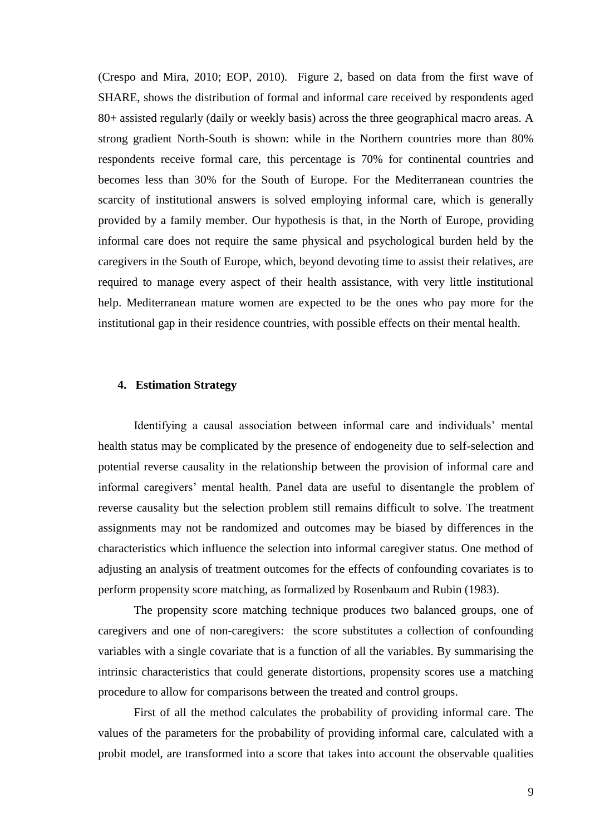(Crespo and Mira, 2010; EOP, 2010). Figure 2, based on data from the first wave of SHARE, shows the distribution of formal and informal care received by respondents aged 80+ assisted regularly (daily or weekly basis) across the three geographical macro areas. A strong gradient North-South is shown: while in the Northern countries more than 80% respondents receive formal care, this percentage is 70% for continental countries and becomes less than 30% for the South of Europe. For the Mediterranean countries the scarcity of institutional answers is solved employing informal care, which is generally provided by a family member. Our hypothesis is that, in the North of Europe, providing informal care does not require the same physical and psychological burden held by the caregivers in the South of Europe, which, beyond devoting time to assist their relatives, are required to manage every aspect of their health assistance, with very little institutional help. Mediterranean mature women are expected to be the ones who pay more for the institutional gap in their residence countries, with possible effects on their mental health.

### **4. Estimation Strategy**

Identifying a causal association between informal care and individuals" mental health status may be complicated by the presence of endogeneity due to self-selection and potential reverse causality in the relationship between the provision of informal care and informal caregivers' mental health. Panel data are useful to disentangle the problem of reverse causality but the selection problem still remains difficult to solve. The treatment assignments may not be randomized and outcomes may be biased by differences in the characteristics which influence the selection into informal caregiver status. One method of adjusting an analysis of treatment outcomes for the effects of confounding covariates is to perform propensity score matching, as formalized by Rosenbaum and Rubin (1983).

The propensity score matching technique produces two balanced groups, one of caregivers and one of non-caregivers: the score substitutes a collection of confounding variables with a single covariate that is a function of all the variables. By summarising the intrinsic characteristics that could generate distortions, propensity scores use a matching procedure to allow for comparisons between the treated and control groups.

First of all the method calculates the probability of providing informal care. The values of the parameters for the probability of providing informal care, calculated with a probit model, are transformed into a score that takes into account the observable qualities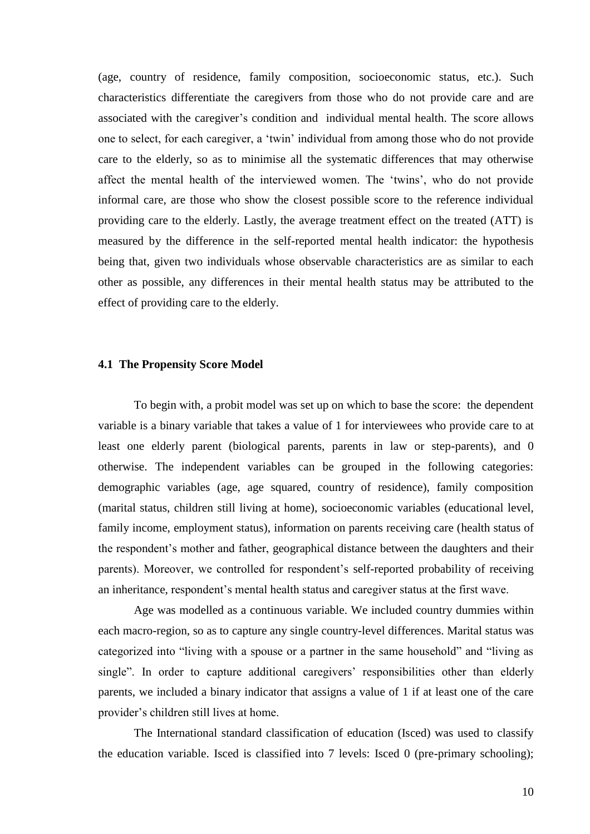(age, country of residence, family composition, socioeconomic status, etc.). Such characteristics differentiate the caregivers from those who do not provide care and are associated with the caregiver's condition and individual mental health. The score allows one to select, for each caregiver, a "twin" individual from among those who do not provide care to the elderly, so as to minimise all the systematic differences that may otherwise affect the mental health of the interviewed women. The "twins", who do not provide informal care, are those who show the closest possible score to the reference individual providing care to the elderly. Lastly, the average treatment effect on the treated (ATT) is measured by the difference in the self-reported mental health indicator: the hypothesis being that, given two individuals whose observable characteristics are as similar to each other as possible, any differences in their mental health status may be attributed to the effect of providing care to the elderly.

#### **4.1 The Propensity Score Model**

To begin with, a probit model was set up on which to base the score: the dependent variable is a binary variable that takes a value of 1 for interviewees who provide care to at least one elderly parent (biological parents, parents in law or step-parents), and 0 otherwise. The independent variables can be grouped in the following categories: demographic variables (age, age squared, country of residence), family composition (marital status, children still living at home), socioeconomic variables (educational level, family income, employment status), information on parents receiving care (health status of the respondent"s mother and father, geographical distance between the daughters and their parents). Moreover, we controlled for respondent's self-reported probability of receiving an inheritance, respondent's mental health status and caregiver status at the first wave.

Age was modelled as a continuous variable. We included country dummies within each macro-region, so as to capture any single country-level differences. Marital status was categorized into "living with a spouse or a partner in the same household" and "living as single". In order to capture additional caregivers' responsibilities other than elderly parents, we included a binary indicator that assigns a value of 1 if at least one of the care provider"s children still lives at home.

The International standard classification of education (Isced) was used to classify the education variable. Isced is classified into 7 levels: Isced 0 (pre-primary schooling);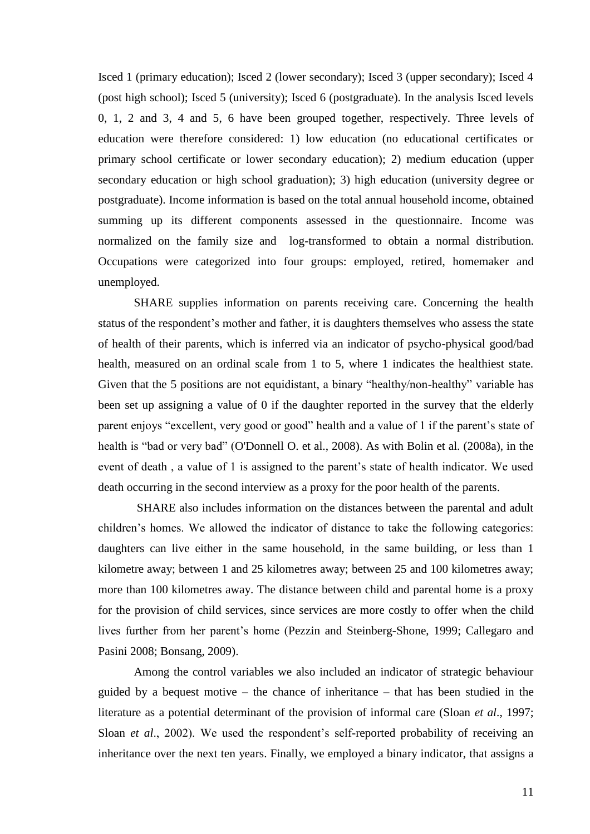Isced 1 (primary education); Isced 2 (lower secondary); Isced 3 (upper secondary); Isced 4 (post high school); Isced 5 (university); Isced 6 (postgraduate). In the analysis Isced levels 0, 1, 2 and 3, 4 and 5, 6 have been grouped together, respectively. Three levels of education were therefore considered: 1) low education (no educational certificates or primary school certificate or lower secondary education); 2) medium education (upper secondary education or high school graduation); 3) high education (university degree or postgraduate). Income information is based on the total annual household income, obtained summing up its different components assessed in the questionnaire. Income was normalized on the family size and log-transformed to obtain a normal distribution. Occupations were categorized into four groups: employed, retired, homemaker and unemployed.

SHARE supplies information on parents receiving care. Concerning the health status of the respondent's mother and father, it is daughters themselves who assess the state of health of their parents, which is inferred via an indicator of psycho-physical good/bad health, measured on an ordinal scale from 1 to 5, where 1 indicates the healthiest state. Given that the 5 positions are not equidistant, a binary "healthy/non-healthy" variable has been set up assigning a value of 0 if the daughter reported in the survey that the elderly parent enjoys "excellent, very good or good" health and a value of 1 if the parent"s state of health is "bad or very bad" (O'Donnell O. et al., 2008). As with Bolin et al. (2008a), in the event of death, a value of 1 is assigned to the parent's state of health indicator. We used death occurring in the second interview as a proxy for the poor health of the parents.

SHARE also includes information on the distances between the parental and adult children"s homes. We allowed the indicator of distance to take the following categories: daughters can live either in the same household, in the same building, or less than 1 kilometre away; between 1 and 25 kilometres away; between 25 and 100 kilometres away; more than 100 kilometres away. The distance between child and parental home is a proxy for the provision of child services, since services are more costly to offer when the child lives further from her parent's home (Pezzin and Steinberg-Shone, 1999; Callegaro and Pasini 2008; Bonsang, 2009).

Among the control variables we also included an indicator of strategic behaviour guided by a bequest motive – the chance of inheritance – that has been studied in the literature as a potential determinant of the provision of informal care (Sloan *et al*., 1997; Sloan *et al.*, 2002). We used the respondent's self-reported probability of receiving an inheritance over the next ten years. Finally, we employed a binary indicator, that assigns a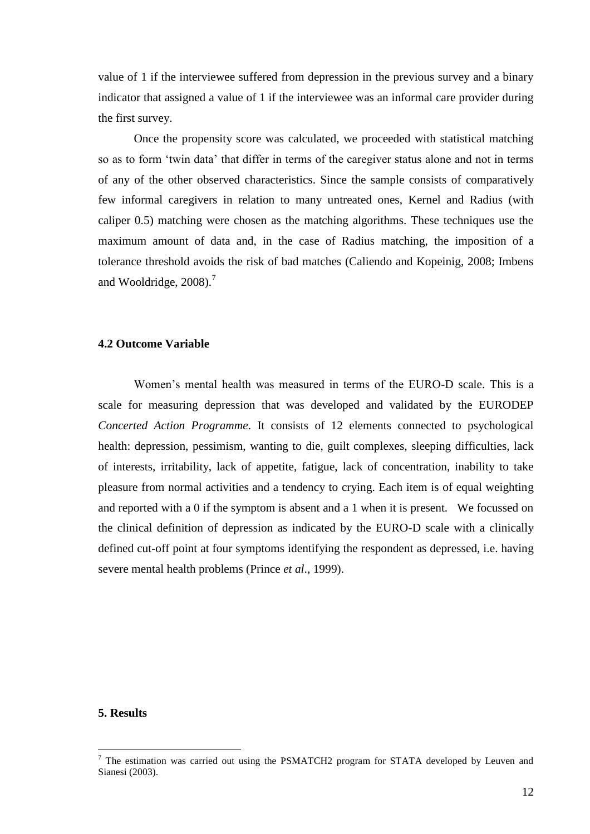value of 1 if the interviewee suffered from depression in the previous survey and a binary indicator that assigned a value of 1 if the interviewee was an informal care provider during the first survey.

Once the propensity score was calculated, we proceeded with statistical matching so as to form "twin data" that differ in terms of the caregiver status alone and not in terms of any of the other observed characteristics. Since the sample consists of comparatively few informal caregivers in relation to many untreated ones, Kernel and Radius (with caliper 0.5) matching were chosen as the matching algorithms. These techniques use the maximum amount of data and, in the case of Radius matching, the imposition of a tolerance threshold avoids the risk of bad matches (Caliendo and Kopeinig, 2008; Imbens and Wooldridge,  $2008$ ).<sup>7</sup>

### **4.2 Outcome Variable**

Women"s mental health was measured in terms of the EURO-D scale. This is a scale for measuring depression that was developed and validated by the EURODEP *Concerted Action Programme*. It consists of 12 elements connected to psychological health: depression, pessimism, wanting to die, guilt complexes, sleeping difficulties, lack of interests, irritability, lack of appetite, fatigue, lack of concentration, inability to take pleasure from normal activities and a tendency to crying. Each item is of equal weighting and reported with a 0 if the symptom is absent and a 1 when it is present. We focussed on the clinical definition of depression as indicated by the EURO-D scale with a clinically defined cut-off point at four symptoms identifying the respondent as depressed, i.e. having severe mental health problems (Prince *et al*., 1999).

### **5. Results**

 $<sup>7</sup>$  The estimation was carried out using the PSMATCH2 program for STATA developed by Leuven and</sup> Sianesi (2003).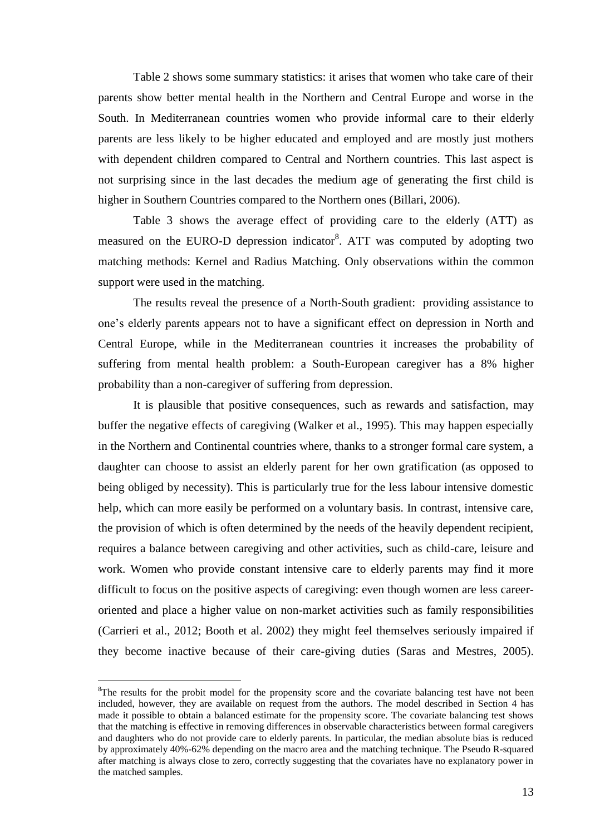Table 2 shows some summary statistics: it arises that women who take care of their parents show better mental health in the Northern and Central Europe and worse in the South. In Mediterranean countries women who provide informal care to their elderly parents are less likely to be higher educated and employed and are mostly just mothers with dependent children compared to Central and Northern countries. This last aspect is not surprising since in the last decades the medium age of generating the first child is higher in Southern Countries compared to the Northern ones (Billari, 2006).

Table 3 shows the average effect of providing care to the elderly (ATT) as measured on the EURO-D depression indicator<sup>8</sup>. ATT was computed by adopting two matching methods: Kernel and Radius Matching. Only observations within the common support were used in the matching.

The results reveal the presence of a North-South gradient: providing assistance to one"s elderly parents appears not to have a significant effect on depression in North and Central Europe, while in the Mediterranean countries it increases the probability of suffering from mental health problem: a South-European caregiver has a 8% higher probability than a non-caregiver of suffering from depression.

It is plausible that positive consequences, such as rewards and satisfaction, may buffer the negative effects of caregiving (Walker et al., 1995). This may happen especially in the Northern and Continental countries where, thanks to a stronger formal care system, a daughter can choose to assist an elderly parent for her own gratification (as opposed to being obliged by necessity). This is particularly true for the less labour intensive domestic help, which can more easily be performed on a voluntary basis. In contrast, intensive care, the provision of which is often determined by the needs of the heavily dependent recipient, requires a balance between caregiving and other activities, such as child-care, leisure and work. Women who provide constant intensive care to elderly parents may find it more difficult to focus on the positive aspects of caregiving: even though women are less careeroriented and place a higher value on non-market activities such as family responsibilities (Carrieri et al., 2012; Booth et al. 2002) they might feel themselves seriously impaired if they become inactive because of their care-giving duties (Saras and Mestres, 2005).

<sup>&</sup>lt;sup>8</sup>The results for the probit model for the propensity score and the covariate balancing test have not been included, however, they are available on request from the authors. The model described in Section 4 has made it possible to obtain a balanced estimate for the propensity score. The covariate balancing test shows that the matching is effective in removing differences in observable characteristics between formal caregivers and daughters who do not provide care to elderly parents. In particular, the median absolute bias is reduced by approximately 40%-62% depending on the macro area and the matching technique. The Pseudo R-squared after matching is always close to zero, correctly suggesting that the covariates have no explanatory power in the matched samples.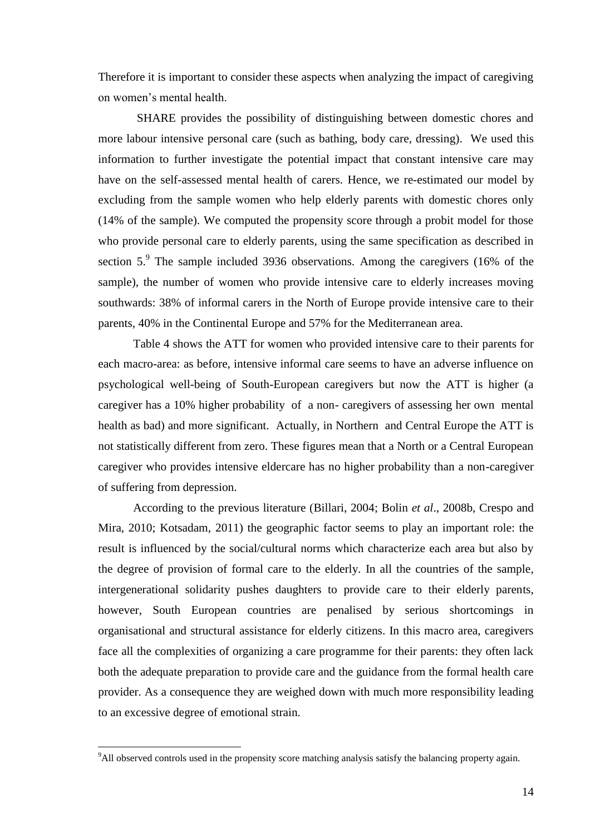Therefore it is important to consider these aspects when analyzing the impact of caregiving on women"s mental health.

 SHARE provides the possibility of distinguishing between domestic chores and more labour intensive personal care (such as bathing, body care, dressing). We used this information to further investigate the potential impact that constant intensive care may have on the self-assessed mental health of carers. Hence, we re-estimated our model by excluding from the sample women who help elderly parents with domestic chores only (14% of the sample). We computed the propensity score through a probit model for those who provide personal care to elderly parents, using the same specification as described in section  $5.9$  The sample included 3936 observations. Among the caregivers (16% of the sample), the number of women who provide intensive care to elderly increases moving southwards: 38% of informal carers in the North of Europe provide intensive care to their parents, 40% in the Continental Europe and 57% for the Mediterranean area.

Table 4 shows the ATT for women who provided intensive care to their parents for each macro-area: as before, intensive informal care seems to have an adverse influence on psychological well-being of South-European caregivers but now the ATT is higher (a caregiver has a 10% higher probability of a non- caregivers of assessing her own mental health as bad) and more significant. Actually, in Northern and Central Europe the ATT is not statistically different from zero. These figures mean that a North or a Central European caregiver who provides intensive eldercare has no higher probability than a non-caregiver of suffering from depression.

According to the previous literature (Billari, 2004; Bolin *et al*., 2008b, Crespo and Mira, 2010; Kotsadam, 2011) the geographic factor seems to play an important role: the result is influenced by the social/cultural norms which characterize each area but also by the degree of provision of formal care to the elderly. In all the countries of the sample, intergenerational solidarity pushes daughters to provide care to their elderly parents, however, South European countries are penalised by serious shortcomings in organisational and structural assistance for elderly citizens. In this macro area, caregivers face all the complexities of organizing a care programme for their parents: they often lack both the adequate preparation to provide care and the guidance from the formal health care provider. As a consequence they are weighed down with much more responsibility leading to an excessive degree of emotional strain.

<sup>9</sup>All observed controls used in the propensity score matching analysis satisfy the balancing property again.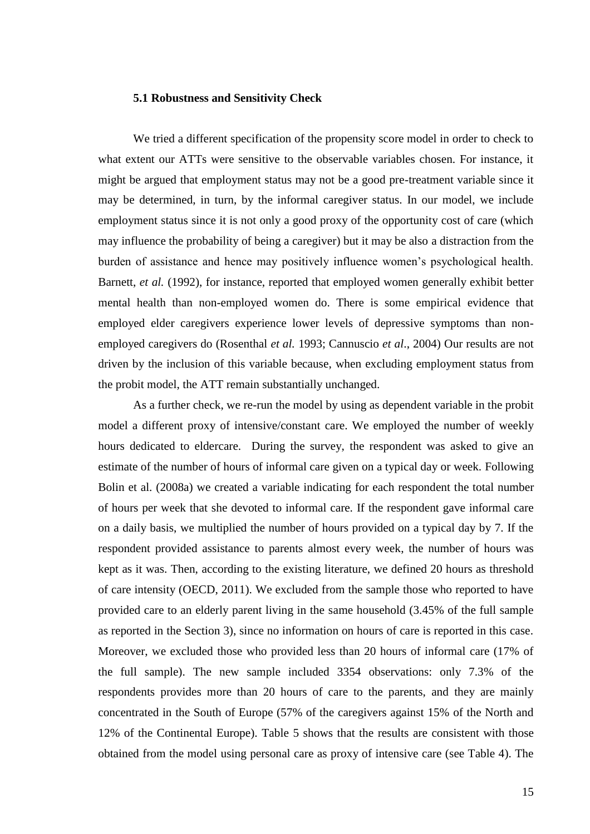#### **5.1 Robustness and Sensitivity Check**

We tried a different specification of the propensity score model in order to check to what extent our ATTs were sensitive to the observable variables chosen. For instance, it might be argued that employment status may not be a good pre-treatment variable since it may be determined, in turn, by the informal caregiver status. In our model, we include employment status since it is not only a good proxy of the opportunity cost of care (which may influence the probability of being a caregiver) but it may be also a distraction from the burden of assistance and hence may positively influence women"s psychological health. Barnett, *et al.* (1992), for instance, reported that employed women generally exhibit better mental health than non-employed women do. There is some empirical evidence that employed elder caregivers experience lower levels of depressive symptoms than nonemployed caregivers do (Rosenthal *et al.* 1993; Cannuscio *et al*., 2004) Our results are not driven by the inclusion of this variable because, when excluding employment status from the probit model, the ATT remain substantially unchanged.

As a further check, we re-run the model by using as dependent variable in the probit model a different proxy of intensive/constant care. We employed the number of weekly hours dedicated to eldercare. During the survey, the respondent was asked to give an estimate of the number of hours of informal care given on a typical day or week. Following Bolin et al. (2008a) we created a variable indicating for each respondent the total number of hours per week that she devoted to informal care. If the respondent gave informal care on a daily basis, we multiplied the number of hours provided on a typical day by 7. If the respondent provided assistance to parents almost every week, the number of hours was kept as it was. Then, according to the existing literature, we defined 20 hours as threshold of care intensity (OECD, 2011). We excluded from the sample those who reported to have provided care to an elderly parent living in the same household (3.45% of the full sample as reported in the Section 3), since no information on hours of care is reported in this case. Moreover, we excluded those who provided less than 20 hours of informal care (17% of the full sample). The new sample included 3354 observations: only 7.3% of the respondents provides more than 20 hours of care to the parents, and they are mainly concentrated in the South of Europe (57% of the caregivers against 15% of the North and 12% of the Continental Europe). Table 5 shows that the results are consistent with those obtained from the model using personal care as proxy of intensive care (see Table 4). The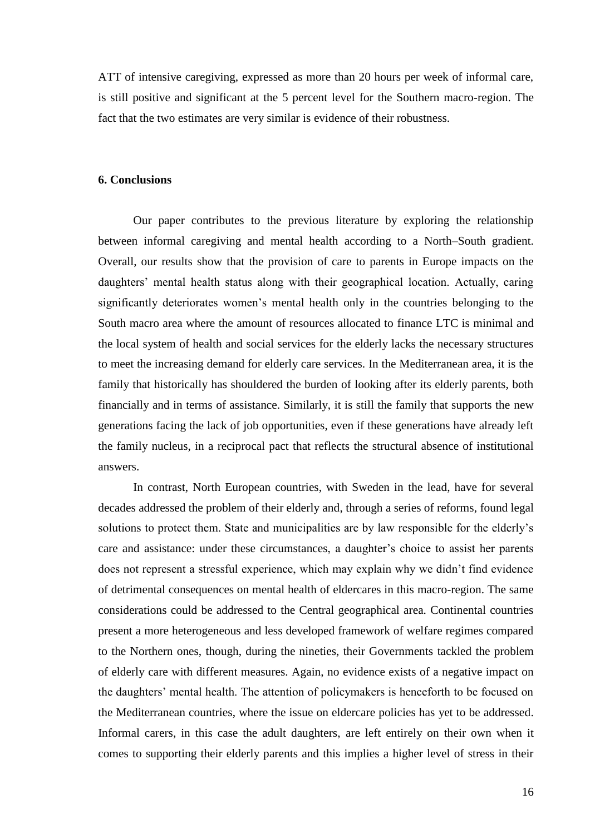ATT of intensive caregiving, expressed as more than 20 hours per week of informal care, is still positive and significant at the 5 percent level for the Southern macro-region. The fact that the two estimates are very similar is evidence of their robustness.

### **6. Conclusions**

Our paper contributes to the previous literature by exploring the relationship between informal caregiving and mental health according to a North–South gradient. Overall, our results show that the provision of care to parents in Europe impacts on the daughters' mental health status along with their geographical location. Actually, caring significantly deteriorates women's mental health only in the countries belonging to the South macro area where the amount of resources allocated to finance LTC is minimal and the local system of health and social services for the elderly lacks the necessary structures to meet the increasing demand for elderly care services. In the Mediterranean area, it is the family that historically has shouldered the burden of looking after its elderly parents, both financially and in terms of assistance. Similarly, it is still the family that supports the new generations facing the lack of job opportunities, even if these generations have already left the family nucleus, in a reciprocal pact that reflects the structural absence of institutional answers.

In contrast, North European countries, with Sweden in the lead, have for several decades addressed the problem of their elderly and, through a series of reforms, found legal solutions to protect them. State and municipalities are by law responsible for the elderly"s care and assistance: under these circumstances, a daughter's choice to assist her parents does not represent a stressful experience, which may explain why we didn"t find evidence of detrimental consequences on mental health of eldercares in this macro-region. The same considerations could be addressed to the Central geographical area. Continental countries present a more heterogeneous and less developed framework of welfare regimes compared to the Northern ones, though, during the nineties, their Governments tackled the problem of elderly care with different measures. Again, no evidence exists of a negative impact on the daughters" mental health. The attention of policymakers is henceforth to be focused on the Mediterranean countries, where the issue on eldercare policies has yet to be addressed. Informal carers, in this case the adult daughters, are left entirely on their own when it comes to supporting their elderly parents and this implies a higher level of stress in their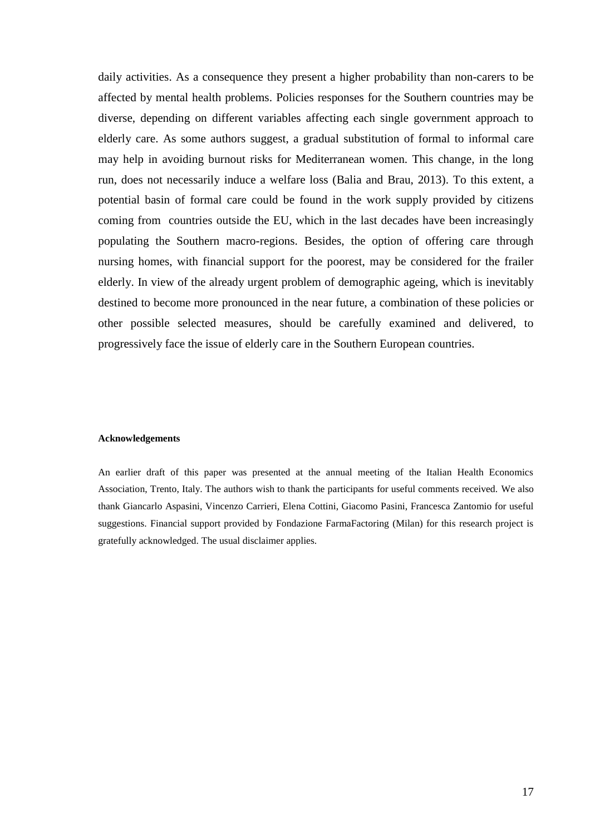daily activities. As a consequence they present a higher probability than non-carers to be affected by mental health problems. Policies responses for the Southern countries may be diverse, depending on different variables affecting each single government approach to elderly care. As some authors suggest, a gradual substitution of formal to informal care may help in avoiding burnout risks for Mediterranean women. This change, in the long run, does not necessarily induce a welfare loss (Balia and Brau, 2013). To this extent, a potential basin of formal care could be found in the work supply provided by citizens coming from countries outside the EU, which in the last decades have been increasingly populating the Southern macro-regions. Besides, the option of offering care through nursing homes, with financial support for the poorest, may be considered for the frailer elderly. In view of the already urgent problem of demographic ageing, which is inevitably destined to become more pronounced in the near future, a combination of these policies or other possible selected measures, should be carefully examined and delivered, to progressively face the issue of elderly care in the Southern European countries.

#### **Acknowledgements**

An earlier draft of this paper was presented at the annual meeting of the Italian Health Economics Association, Trento, Italy. The authors wish to thank the participants for useful comments received. We also thank Giancarlo Aspasini, Vincenzo Carrieri, Elena Cottini, Giacomo Pasini, Francesca Zantomio for useful suggestions. Financial support provided by Fondazione FarmaFactoring (Milan) for this research project is gratefully acknowledged. The usual disclaimer applies.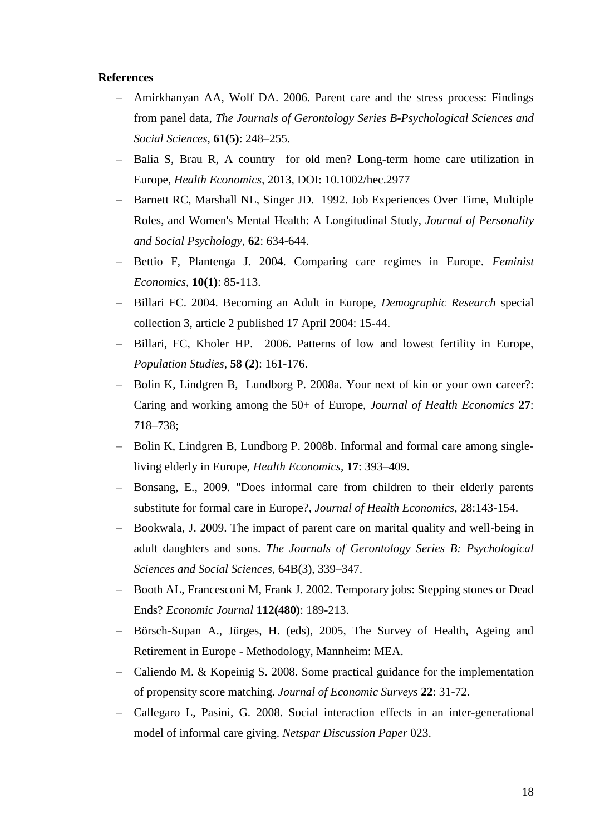### **References**

- Amirkhanyan AA, Wolf DA. 2006. Parent care and the stress process: Findings from panel data, *The Journals of Gerontology Series B-Psychological Sciences and Social Sciences*, **61(5)**: 248–255.
- Balia S, Brau R, A country for old men? Long-term home care utilization in Europe, *Health Economics,* 2013, DOI: 10.1002/hec.2977
- Barnett RC, Marshall NL, Singer JD. 1992. Job Experiences Over Time, Multiple Roles, and Women's Mental Health: A Longitudinal Study, *Journal of Personality and Social Psychology*, **62**: 634-644.
- Bettio F, Plantenga J. 2004. Comparing care regimes in Europe. *Feminist Economics*, **10(1)**: 85-113.
- Billari FC. 2004. Becoming an Adult in Europe, *Demographic Research* special collection 3, article 2 published 17 April 2004: 15-44.
- Billari, FC, Kholer HP. 2006. Patterns of low and lowest fertility in Europe, *Population Studies*, **58 (2)**: 161-176.
- Bolin K, Lindgren B, Lundborg P. 2008a. Your next of kin or your own career?: Caring and working among the 50+ of Europe, *Journal of Health Economics* **27**: 718–738;
- Bolin K, Lindgren B, Lundborg P. 2008b. Informal and formal care among singleliving elderly in Europe, *Health Economics,* **17**: 393–409.
- Bonsang, E., 2009. ["Does informal care from children to their elderly parents](http://ideas.repec.org/a/eee/jhecon/v28y2009i1p143-154.html)  [substitute for formal care in Europe?,](http://ideas.repec.org/a/eee/jhecon/v28y2009i1p143-154.html) *[Journal of Health Economics](http://ideas.repec.org/s/eee/jhecon.html)*, 28:143-154.
- Bookwala, J. 2009. The impact of parent care on marital quality and well-being in adult daughters and sons. *The Journals of Gerontology Series B: Psychological Sciences and Social Sciences*, 64B(3), 339–347.
- Booth AL, Francesconi M, Frank J. 2002. Temporary jobs: Stepping stones or Dead Ends? *Economic Journal* **112(480)**: 189-213.
- Börsch-Supan A., Jürges, H. (eds), 2005, The Survey of Health, Ageing and Retirement in Europe - Methodology, Mannheim: MEA.
- Caliendo M. & Kopeinig S. 2008. Some practical guidance for the implementation of propensity score matching. *Journal of Economic Surveys* **22**: 31-72.
- Callegaro L, Pasini, G. 2008. Social interaction effects in an inter-generational model of informal care giving. *Netspar Discussion Paper* 023.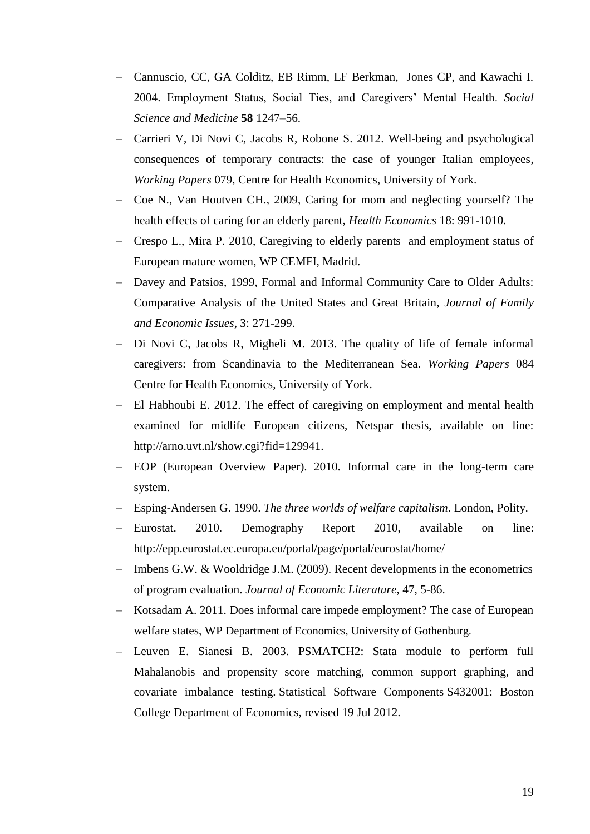- Cannuscio, CC, GA Colditz, EB Rimm, LF Berkman, Jones CP, and Kawachi I. 2004. Employment Status, Social Ties, and Caregivers" Mental Health. *Social Science and Medicine* **58** 1247–56.
- Carrieri V, Di Novi C, Jacobs R, Robone S. 2012. [Well-being and psychological](http://ideas.repec.org/p/chy/respap/79cherp.html)  [consequences of temporary contracts: the case of younger Italian employees,](http://ideas.repec.org/p/chy/respap/79cherp.html) *[Working Papers](http://ideas.repec.org/s/chy/respap.html)* 079, Centre for Health Economics, University of York.
- Coe N., Van Houtven CH., 2009, Caring for mom and neglecting yourself? The health effects of caring for an elderly parent, *Health Economics* 18: 991-1010.
- Crespo L., Mira P. 2010, Caregiving to elderly parents and employment status of European mature women, WP CEMFI, Madrid.
- Davey and Patsios, 1999, Formal and Informal Community Care to Older Adults: Comparative Analysis of the United States and Great Britain, *Journal of Family and Economic Issues*, 3: 271-299.
- Di Novi C, Jacobs R, Migheli M. 2013. [The quality of life of female informal](http://ideas.repec.org/p/chy/respap/84cherp.html)  [caregivers: from Scandinavia to the Mediterranean Sea.](http://ideas.repec.org/p/chy/respap/84cherp.html) *Working Papers* 084 Centre for Health Economics, University of York.
- El Habhoubi E. 2012. The effect of caregiving on employment and mental health examined for midlife European citizens, Netspar thesis, available on line: [http://arno.uvt.nl/show.cgi?fid=129941.](http://arno.uvt.nl/show.cgi?fid=129941)
- EOP (European Overview Paper). 2010. Informal care in the long-term care system.
- Esping-Andersen G. 1990. *The three worlds of welfare capitalism*. London, Polity.
- Eurostat. 2010. Demography Report 2010, available on line: <http://epp.eurostat.ec.europa.eu/portal/page/portal/eurostat/home/>
- Imbens G.W. & Wooldridge J.M. (2009). Recent developments in the econometrics of program evaluation. *Journal of Economic Literature*, 47, 5-86.
- Kotsadam A. 2011. Does informal care impede employment? The case of European welfare states, WP Department of Economics, University of Gothenburg.
- Leuven E. Sianesi B. 2003. PSMATCH2: Stata module to perform full Mahalanobis and propensity score matching, common support graphing, and covariate imbalance testing. Statistical Software Components S432001: Boston College Department of Economics, revised 19 Jul 2012.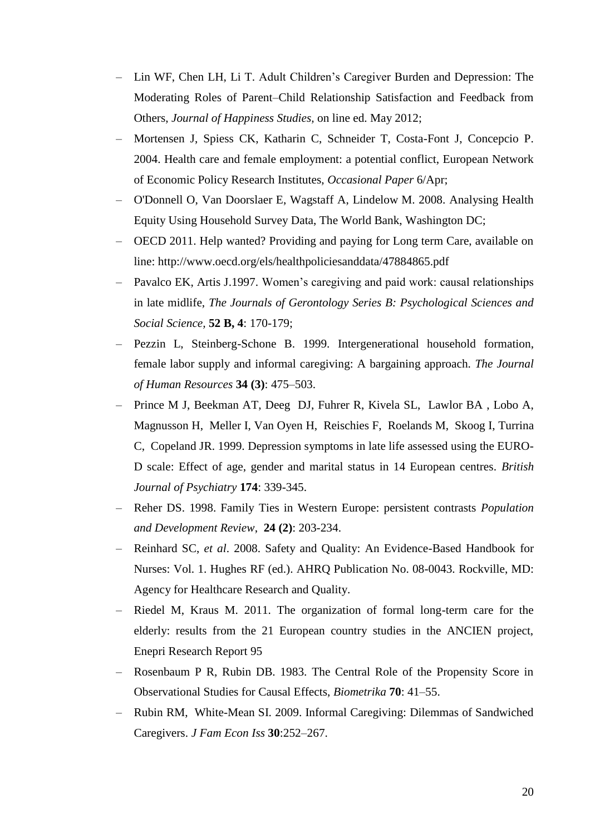- Lin WF, Chen LH, Li T. Adult Children"s Caregiver Burden and Depression: The Moderating Roles of Parent–Child Relationship Satisfaction and Feedback from Others, *Journal of Happiness Studies,* on line ed. May 2012;
- Mortensen J, Spiess CK, Katharin C, Schneider T, Costa-Font J, Concepcio P. 2004. Health care and female employment: a potential conflict, European Network of Economic Policy Research Institutes, *Occasional Paper* 6/Apr;
- O'Donnell O, Van Doorslaer E, Wagstaff A, Lindelow M. 2008. Analysing Health Equity Using Household Survey Data, The World Bank, Washington DC;
- OECD 2011. Help wanted? Providing and paying for Long term Care, available on line:<http://www.oecd.org/els/healthpoliciesanddata/47884865.pdf>
- Pavalco EK, Artis J.1997. Women's caregiving and paid work: causal relationships in late midlife, *The Journals of Gerontology Series B: Psychological Sciences and Social Science,* **52 B, 4**: 170-179;
- Pezzin L, Steinberg-Schone B. 1999. Intergenerational household formation, female labor supply and informal caregiving: A bargaining approach. *The Journal of Human Resources* **34 (3)**: 475–503.
- Prince M J, [Beekman AT,](http://www.ncbi.nlm.nih.gov/pubmed?term=Beekman%20AT%5BAuthor%5D&cauthor=true&cauthor_uid=10533553) [Deeg](http://www.ncbi.nlm.nih.gov/pubmed?term=Deeg%20DJ%5BAuthor%5D&cauthor=true&cauthor_uid=10533553) DJ, [Fuhrer R](http://www.ncbi.nlm.nih.gov/pubmed?term=Fuhrer%20R%5BAuthor%5D&cauthor=true&cauthor_uid=10533553), [Kivela S](http://www.ncbi.nlm.nih.gov/pubmed?term=Kivela%20SL%5BAuthor%5D&cauthor=true&cauthor_uid=10533553)L, [Lawlor BA ,](http://www.ncbi.nlm.nih.gov/pubmed?term=Lawlor%20BA%5BAuthor%5D&cauthor=true&cauthor_uid=10533553) [Lobo A](http://www.ncbi.nlm.nih.gov/pubmed?term=Lobo%20A%5BAuthor%5D&cauthor=true&cauthor_uid=10533553), [Magnusson H](http://www.ncbi.nlm.nih.gov/pubmed?term=Magnusson%20H%5BAuthor%5D&cauthor=true&cauthor_uid=10533553), [Meller I](http://www.ncbi.nlm.nih.gov/pubmed?term=Meller%20I%5BAuthor%5D&cauthor=true&cauthor_uid=10533553), [Van Oyen H](http://www.ncbi.nlm.nih.gov/pubmed?term=van%20Oyen%20H%5BAuthor%5D&cauthor=true&cauthor_uid=10533553), [Reischies F](http://www.ncbi.nlm.nih.gov/pubmed?term=Reischies%20F%5BAuthor%5D&cauthor=true&cauthor_uid=10533553), [Roelands](http://www.ncbi.nlm.nih.gov/pubmed?term=Roelands%20M%5BAuthor%5D&cauthor=true&cauthor_uid=10533553) M, [Skoog I](http://www.ncbi.nlm.nih.gov/pubmed?term=Skoog%20I%5BAuthor%5D&cauthor=true&cauthor_uid=10533553), [Turrina](http://www.ncbi.nlm.nih.gov/pubmed?term=Turrina%20C%5BAuthor%5D&cauthor=true&cauthor_uid=10533553)  C, [Copeland JR. 1](http://www.ncbi.nlm.nih.gov/pubmed?term=Copeland%20JR%5BAuthor%5D&cauthor=true&cauthor_uid=10533553)999. Depression symptoms in late life assessed using the EURO-D scale: Effect of age, gender and marital status in 14 European centres. *British Journal of Psychiatry* **174**: 339-345.
- Reher DS. 1998. Family Ties in Western Europe: persistent contrasts *Population and Development Review*, **24 (2)**: 203-234.
- Reinhard SC, *et al*. 2008. Safety and Quality: An Evidence-Based Handbook for Nurses: Vol. 1. Hughes RF (ed.). AHRQ Publication No. 08-0043. Rockville, MD: Agency for Healthcare Research and Quality.
- Riedel M, Kraus M. 2011. The organization of formal long-term care for the elderly: results from the 21 European country studies in the ANCIEN project, Enepri Research Report 95
- Rosenbaum P R, Rubin DB. 1983. The Central Role of the Propensity Score in Observational Studies for Causal Effects, *Biometrika* **70**: 41–55.
- Rubin RM, White-Mean SI. 2009. Informal Caregiving: Dilemmas of Sandwiched Caregivers. *J Fam Econ Iss* **30**:252–267.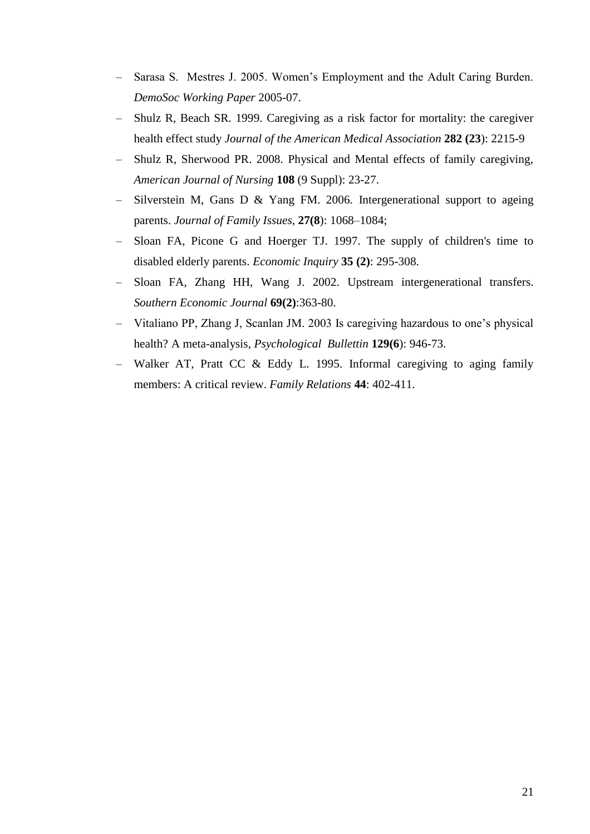- Sarasa S. Mestres J. 2005. Women"s Employment and the Adult Caring Burden. *DemoSoc Working Paper* 2005-07.
- Shulz R, Beach SR. 1999. Caregiving as a risk factor for mortality: the caregiver health effect study *Journal of the American Medical Association* **282 (23**): 2215-9
- Shulz R, Sherwood PR. 2008. Physical and Mental effects of family caregiving, *American Journal of Nursing* **108** (9 Suppl): 23-27.
- Silverstein M, Gans D & Yang FM. 2006. Intergenerational support to ageing parents. *Journal of Family Issues*, **27(8**): 1068–1084;
- Sloan FA, Picone G and Hoerger TJ. 1997. The supply of children's time to disabled elderly parents. *Economic Inquiry* **35 (2)**: 295-308.
- Sloan FA, Zhang HH, Wang J. 2002. Upstream intergenerational transfers. *Southern Economic Journal* **69(2)**:363-80.
- Vitaliano PP, Zhang J, Scanlan JM. 2003 Is caregiving hazardous to one"s physical health? A meta-analysis*, Psychological Bullettin* **129(6**): 946-73.
- Walker AT, Pratt CC & Eddy L. 1995. Informal caregiving to aging family members: A critical review. *Family Relations* **44**: 402-411.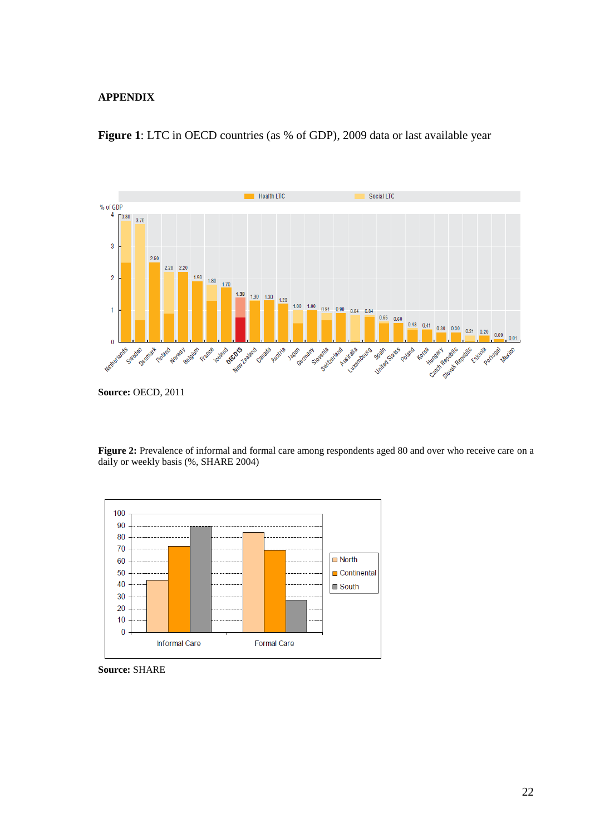#### **APPENDIX**



**Figure 1**: LTC in OECD countries (as % of GDP), 2009 data or last available year

Figure 2: Prevalence of informal and formal care among respondents aged 80 and over who receive care on a daily or weekly basis (%, SHARE 2004)



**Source:** SHARE

**Source:** OECD, 2011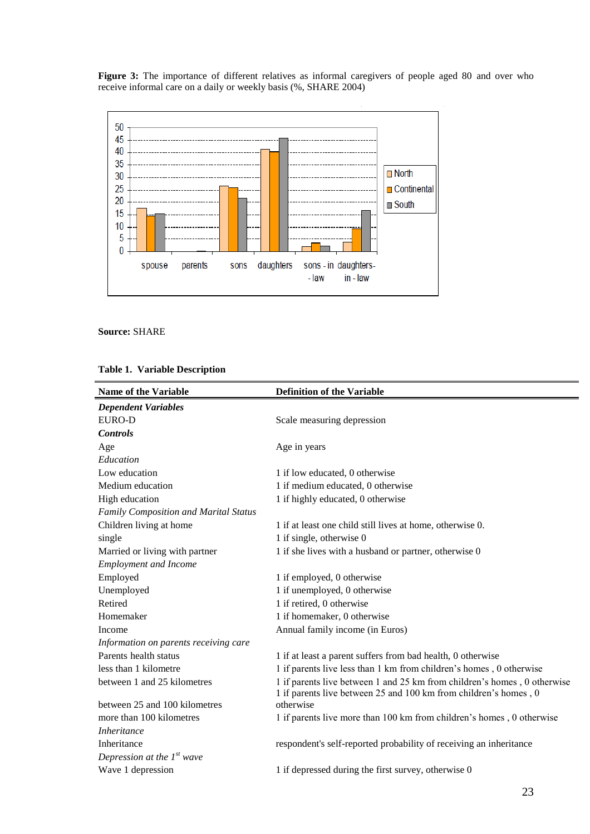**Figure 3:** The importance of different relatives as informal caregivers of people aged 80 and over who receive informal care on a daily or weekly basis (%, SHARE 2004)



**Source:** SHARE

|  |  | <b>Table 1. Variable Description</b> |
|--|--|--------------------------------------|
|--|--|--------------------------------------|

| <b>Name of the Variable</b>           | <b>Definition of the Variable</b>                                                                                                            |
|---------------------------------------|----------------------------------------------------------------------------------------------------------------------------------------------|
| <b>Dependent Variables</b>            |                                                                                                                                              |
| EURO-D                                | Scale measuring depression                                                                                                                   |
| <b>Controls</b>                       |                                                                                                                                              |
| Age                                   | Age in years                                                                                                                                 |
| Education                             |                                                                                                                                              |
| Low education                         | 1 if low educated, 0 otherwise                                                                                                               |
| Medium education                      | 1 if medium educated, 0 otherwise                                                                                                            |
| High education                        | 1 if highly educated, 0 otherwise                                                                                                            |
| Family Composition and Marital Status |                                                                                                                                              |
| Children living at home               | 1 if at least one child still lives at home, otherwise 0.                                                                                    |
| single                                | 1 if single, otherwise 0                                                                                                                     |
| Married or living with partner        | 1 if she lives with a husband or partner, otherwise 0                                                                                        |
| <b>Employment and Income</b>          |                                                                                                                                              |
| Employed                              | 1 if employed, 0 otherwise                                                                                                                   |
| Unemployed                            | 1 if unemployed, 0 otherwise                                                                                                                 |
| Retired                               | 1 if retired, 0 otherwise                                                                                                                    |
| Homemaker                             | 1 if homemaker, 0 otherwise                                                                                                                  |
| Income                                | Annual family income (in Euros)                                                                                                              |
| Information on parents receiving care |                                                                                                                                              |
| Parents health status                 | 1 if at least a parent suffers from bad health, 0 otherwise                                                                                  |
| less than 1 kilometre                 | 1 if parents live less than 1 km from children's homes, 0 otherwise                                                                          |
| between 1 and 25 kilometres           | 1 if parents live between 1 and 25 km from children's homes, 0 otherwise<br>1 if parents live between 25 and 100 km from children's homes, 0 |
| between 25 and 100 kilometres         | otherwise                                                                                                                                    |
| more than 100 kilometres              | 1 if parents live more than 100 km from children's homes, 0 otherwise                                                                        |
| <i>Inheritance</i>                    |                                                                                                                                              |
| Inheritance                           | respondent's self-reported probability of receiving an inheritance                                                                           |
| Depression at the $1^{st}$ wave       |                                                                                                                                              |
| Wave 1 depression                     | 1 if depressed during the first survey, otherwise 0                                                                                          |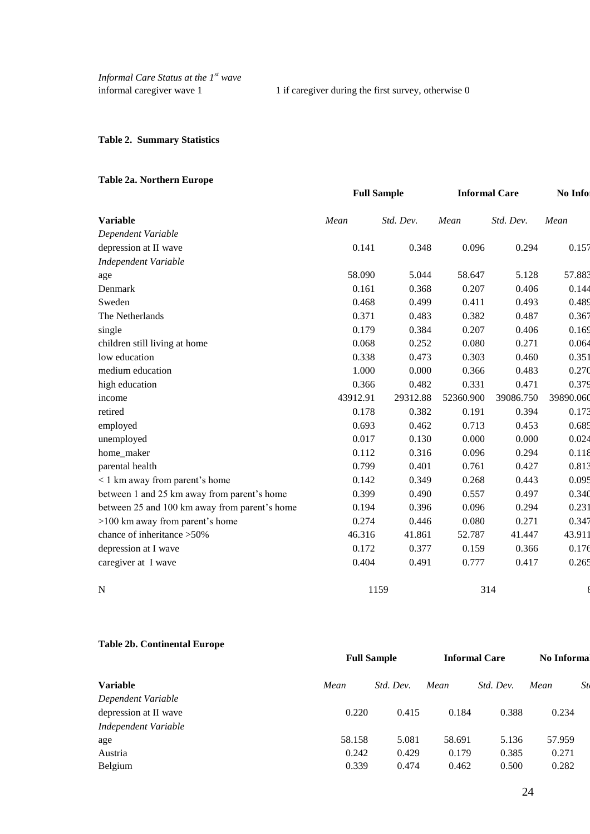informal caregiver wave 1 1 if caregiver during the first survey, otherwise 0

#### **Table 2. Summary Statistics**

### **Table 2a. Northern Europe**

|                                               | <b>Full Sample</b> |           |           | <b>Informal Care</b> | No Info   |
|-----------------------------------------------|--------------------|-----------|-----------|----------------------|-----------|
| <b>Variable</b>                               | Mean               | Std. Dev. | Mean      | Std. Dev.            | Mean      |
| Dependent Variable                            |                    |           |           |                      |           |
| depression at II wave                         | 0.141              | 0.348     | 0.096     | 0.294                | 0.157     |
| <b>Independent Variable</b>                   |                    |           |           |                      |           |
| age                                           | 58.090             | 5.044     | 58.647    | 5.128                | 57.883    |
| Denmark                                       | 0.161              | 0.368     | 0.207     | 0.406                | 0.144     |
| Sweden                                        | 0.468              | 0.499     | 0.411     | 0.493                | 0.489     |
| The Netherlands                               | 0.371              | 0.483     | 0.382     | 0.487                | 0.367     |
| single                                        | 0.179              | 0.384     | 0.207     | 0.406                | 0.169     |
| children still living at home                 | 0.068              | 0.252     | 0.080     | 0.271                | 0.064     |
| low education                                 | 0.338              | 0.473     | 0.303     | 0.460                | 0.351     |
| medium education                              | 1.000              | 0.000     | 0.366     | 0.483                | 0.270     |
| high education                                | 0.366              | 0.482     | 0.331     | 0.471                | 0.379     |
| income                                        | 43912.91           | 29312.88  | 52360.900 | 39086.750            | 39890.060 |
| retired                                       | 0.178              | 0.382     | 0.191     | 0.394                | 0.173     |
| employed                                      | 0.693              | 0.462     | 0.713     | 0.453                | 0.685     |
| unemployed                                    | 0.017              | 0.130     | 0.000     | 0.000                | 0.024     |
| home_maker                                    | 0.112              | 0.316     | 0.096     | 0.294                | 0.118     |
| parental health                               | 0.799              | 0.401     | 0.761     | 0.427                | 0.813     |
| < 1 km away from parent's home                | 0.142              | 0.349     | 0.268     | 0.443                | 0.095     |
| between 1 and 25 km away from parent's home   | 0.399              | 0.490     | 0.557     | 0.497                | 0.340     |
| between 25 and 100 km away from parent's home | 0.194              | 0.396     | 0.096     | 0.294                | 0.231     |
| >100 km away from parent's home               | 0.274              | 0.446     | 0.080     | 0.271                | 0.347     |
| chance of inheritance >50%                    | 46.316             | 41.861    | 52.787    | 41.447               | 43.911    |
| depression at I wave                          | 0.172              | 0.377     | 0.159     | 0.366                | 0.176     |
| caregiver at I wave                           | 0.404              | 0.491     | 0.777     | 0.417                | 0.265     |
| N                                             |                    | 1159      |           | 314                  |           |

#### **Table 2b. Continental Europe**

| <b>Full Sample</b> |           | <b>Informal Care</b> |           | <b>No Informal</b> |    |
|--------------------|-----------|----------------------|-----------|--------------------|----|
| Mean               | Std. Dev. | Mean                 | Std. Dev. | Mean               | St |
|                    |           |                      |           |                    |    |
| 0.220              | 0.415     | 0.184                | 0.388     | 0.234              |    |
|                    |           |                      |           |                    |    |
| 58.158             | 5.081     | 58.691               | 5.136     | 57.959             |    |
| 0.242              | 0.429     | 0.179                | 0.385     | 0.271              |    |
| 0.339              | 0.474     | 0.462                | 0.500     | 0.282              |    |
|                    |           |                      |           |                    |    |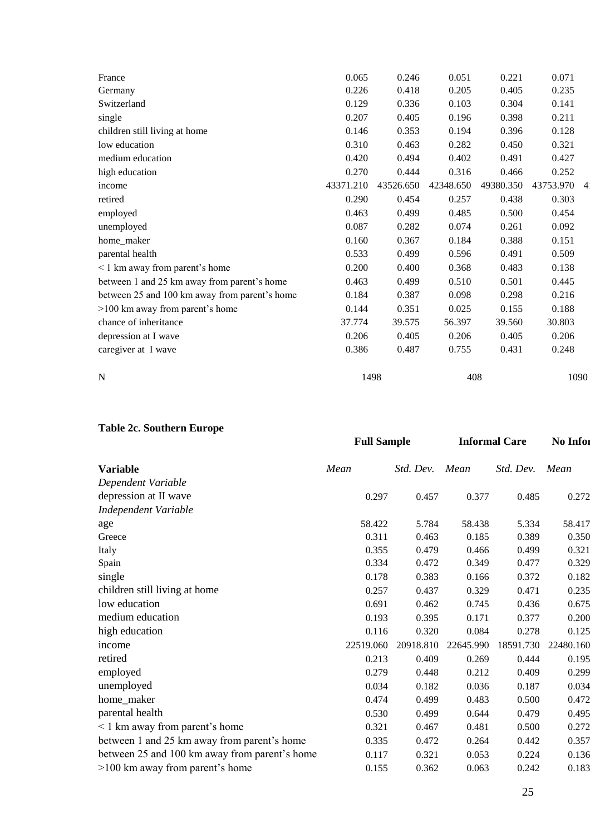| France                                        | 0.065     | 0.246     | 0.051     | 0.221     | 0.071     |                |
|-----------------------------------------------|-----------|-----------|-----------|-----------|-----------|----------------|
| Germany                                       | 0.226     | 0.418     | 0.205     | 0.405     | 0.235     |                |
| Switzerland                                   | 0.129     | 0.336     | 0.103     | 0.304     | 0.141     |                |
| single                                        | 0.207     | 0.405     | 0.196     | 0.398     | 0.211     |                |
| children still living at home                 | 0.146     | 0.353     | 0.194     | 0.396     | 0.128     |                |
| low education                                 | 0.310     | 0.463     | 0.282     | 0.450     | 0.321     |                |
| medium education                              | 0.420     | 0.494     | 0.402     | 0.491     | 0.427     |                |
| high education                                | 0.270     | 0.444     | 0.316     | 0.466     | 0.252     |                |
| income                                        | 43371.210 | 43526.650 | 42348.650 | 49380.350 | 43753.970 | $\overline{4}$ |
| retired                                       | 0.290     | 0.454     | 0.257     | 0.438     | 0.303     |                |
| employed                                      | 0.463     | 0.499     | 0.485     | 0.500     | 0.454     |                |
| unemployed                                    | 0.087     | 0.282     | 0.074     | 0.261     | 0.092     |                |
| home_maker                                    | 0.160     | 0.367     | 0.184     | 0.388     | 0.151     |                |
| parental health                               | 0.533     | 0.499     | 0.596     | 0.491     | 0.509     |                |
| <1 km away from parent's home                 | 0.200     | 0.400     | 0.368     | 0.483     | 0.138     |                |
| between 1 and 25 km away from parent's home   | 0.463     | 0.499     | 0.510     | 0.501     | 0.445     |                |
| between 25 and 100 km away from parent's home | 0.184     | 0.387     | 0.098     | 0.298     | 0.216     |                |
| >100 km away from parent's home               | 0.144     | 0.351     | 0.025     | 0.155     | 0.188     |                |
| chance of inheritance                         | 37.774    | 39.575    | 56.397    | 39.560    | 30.803    |                |
| depression at I wave                          | 0.206     | 0.405     | 0.206     | 0.405     | 0.206     |                |
| caregiver at I wave                           | 0.386     | 0.487     | 0.755     | 0.431     | 0.248     |                |
|                                               |           |           |           |           |           |                |
| $\mathbf N$                                   | 1498      |           | 408       |           | 1090      |                |
|                                               |           |           |           |           |           |                |

**Table 2c. Southern Europe**

|                                               | <b>Full Sample</b> |           | <b>Informal Care</b> |           | No Infor  |  |
|-----------------------------------------------|--------------------|-----------|----------------------|-----------|-----------|--|
| <b>Variable</b>                               | Mean               | Std. Dev. | Mean                 | Std. Dev. | Mean      |  |
| Dependent Variable                            |                    |           |                      |           |           |  |
| depression at II wave                         | 0.297              | 0.457     | 0.377                | 0.485     | 0.272     |  |
| <b>Independent Variable</b>                   |                    |           |                      |           |           |  |
| age                                           | 58.422             | 5.784     | 58.438               | 5.334     | 58.417    |  |
| Greece                                        | 0.311              | 0.463     | 0.185                | 0.389     | 0.350     |  |
| Italy                                         | 0.355              | 0.479     | 0.466                | 0.499     | 0.321     |  |
| Spain                                         | 0.334              | 0.472     | 0.349                | 0.477     | 0.329     |  |
| single                                        | 0.178              | 0.383     | 0.166                | 0.372     | 0.182     |  |
| children still living at home                 | 0.257              | 0.437     | 0.329                | 0.471     | 0.235     |  |
| low education                                 | 0.691              | 0.462     | 0.745                | 0.436     | 0.675     |  |
| medium education                              | 0.193              | 0.395     | 0.171                | 0.377     | 0.200     |  |
| high education                                | 0.116              | 0.320     | 0.084                | 0.278     | 0.125     |  |
| income                                        | 22519.060          | 20918.810 | 22645.990            | 18591.730 | 22480.160 |  |
| retired                                       | 0.213              | 0.409     | 0.269                | 0.444     | 0.195     |  |
| employed                                      | 0.279              | 0.448     | 0.212                | 0.409     | 0.299     |  |
| unemployed                                    | 0.034              | 0.182     | 0.036                | 0.187     | 0.034     |  |
| home_maker                                    | 0.474              | 0.499     | 0.483                | 0.500     | 0.472     |  |
| parental health                               | 0.530              | 0.499     | 0.644                | 0.479     | 0.495     |  |
| $\leq$ 1 km away from parent's home           | 0.321              | 0.467     | 0.481                | 0.500     | 0.272     |  |
| between 1 and 25 km away from parent's home   | 0.335              | 0.472     | 0.264                | 0.442     | 0.357     |  |
| between 25 and 100 km away from parent's home | 0.117              | 0.321     | 0.053                | 0.224     | 0.136     |  |
| >100 km away from parent's home               | 0.155              | 0.362     | 0.063                | 0.242     | 0.183     |  |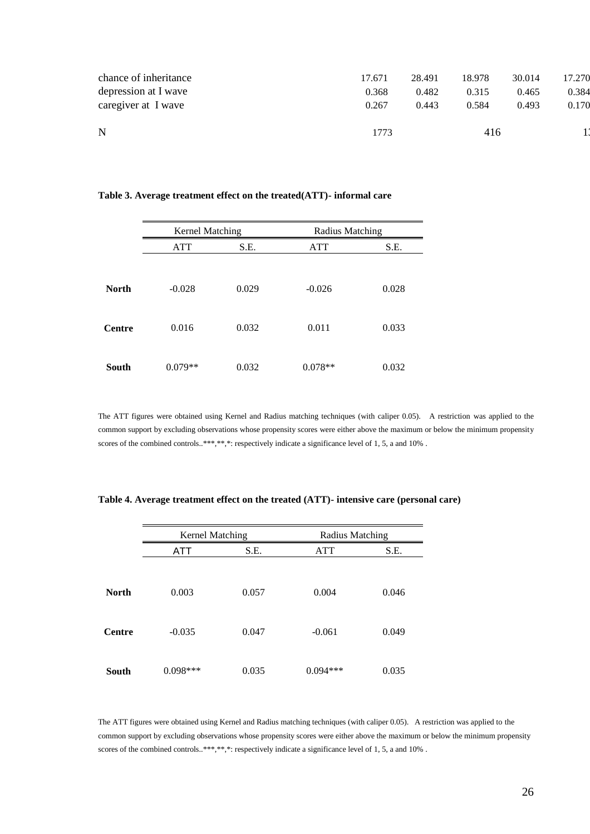| depression at I wave<br>caregiver at I wave | 0.368<br>0.267 | 0.482<br>0.443 | 0.315<br>0.584 | 0.465<br>0.493 | 0.384<br>0.170 |
|---------------------------------------------|----------------|----------------|----------------|----------------|----------------|
| chance of inheritance                       | 17.671         | 28.491         | 18.978         | 30.014         | 17.270         |
|                                             |                |                |                |                |                |

#### **Table 3. Average treatment effect on the treated(ATT)- informal care**

|              | <b>Kernel Matching</b> |       | Radius Matching |       |
|--------------|------------------------|-------|-----------------|-------|
|              | <b>ATT</b>             | S.E.  | <b>ATT</b>      | S.E.  |
|              |                        |       |                 |       |
| <b>North</b> | $-0.028$               | 0.029 | $-0.026$        | 0.028 |
| Centre       | 0.016                  | 0.032 | 0.011           | 0.033 |
| South        | $0.079**$              | 0.032 | $0.078**$       | 0.032 |

The ATT figures were obtained using Kernel and Radius matching techniques (with caliper 0.05). A restriction was applied to the common support by excluding observations whose propensity scores were either above the maximum or below the minimum propensity scores of the combined controls..\*\*\*,\*\*,\*: respectively indicate a significance level of 1, 5, a and 10%.

|              |            | Kernel Matching |            | Radius Matching |
|--------------|------------|-----------------|------------|-----------------|
|              | ATT        | S.E.            | <b>ATT</b> | S.E.            |
|              |            |                 |            |                 |
| <b>North</b> | 0.003      | 0.057           | 0.004      | 0.046           |
| Centre       | $-0.035$   | 0.047           | $-0.061$   | 0.049           |
| South        | $0.098***$ | 0.035           | $0.094***$ | 0.035           |

**Table 4. Average treatment effect on the treated (ATT)- intensive care (personal care)**

The ATT figures were obtained using Kernel and Radius matching techniques (with caliper 0.05). A restriction was applied to the common support by excluding observations whose propensity scores were either above the maximum or below the minimum propensity scores of the combined controls..\*\*\*,\*\*,\*: respectively indicate a significance level of 1, 5, a and 10%.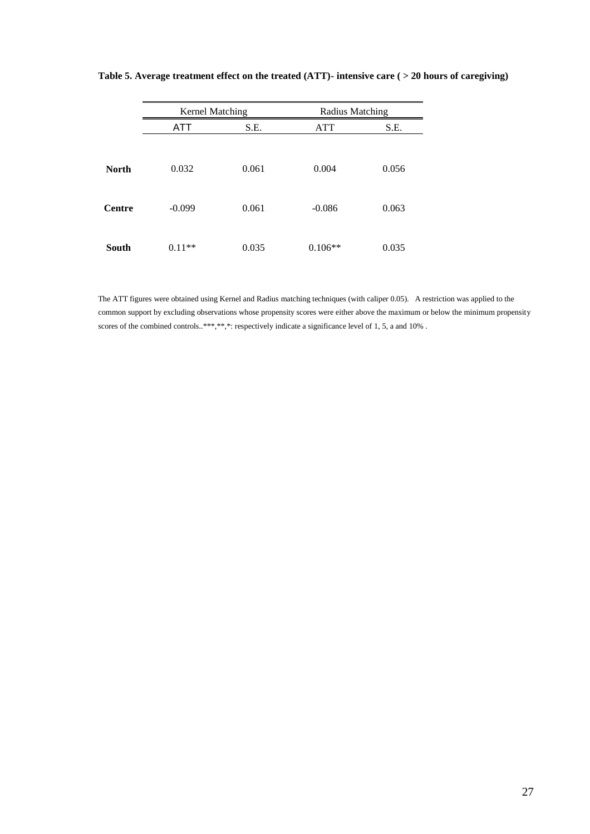|              | Kernel Matching |       | Radius Matching |       |
|--------------|-----------------|-------|-----------------|-------|
|              | ATT             | S.E.  | <b>ATT</b>      | S.E.  |
|              |                 |       |                 |       |
| <b>North</b> | 0.032           | 0.061 | 0.004           | 0.056 |
| Centre       | $-0.099$        | 0.061 | $-0.086$        | 0.063 |
| South        | $0.11**$        | 0.035 | $0.106**$       | 0.035 |

**Table 5. Average treatment effect on the treated (ATT)- intensive care ( > 20 hours of caregiving)**

The ATT figures were obtained using Kernel and Radius matching techniques (with caliper 0.05). A restriction was applied to the common support by excluding observations whose propensity scores were either above the maximum or below the minimum propensity scores of the combined controls..\*\*\*,\*\*,\*: respectively indicate a significance level of 1, 5, a and 10%.